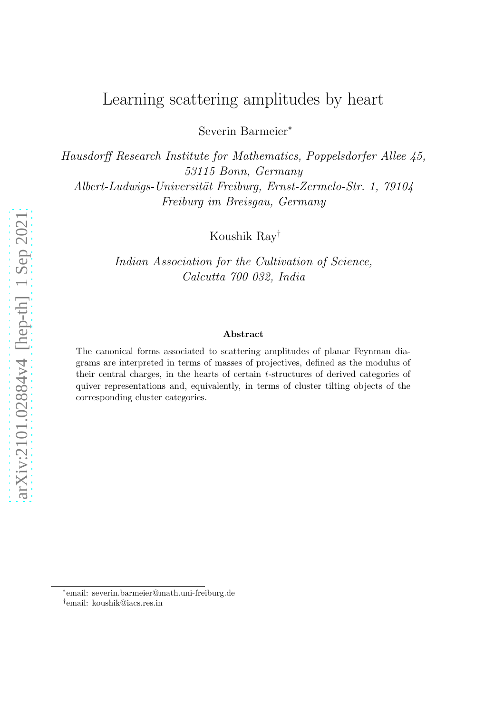# Learning scattering amplitudes by heart

Severin Barmeier<sup>∗</sup>

Hausdorff Research Institute for Mathematics, Poppelsdorfer Allee 45, 53115 Bonn, Germany Albert-Ludwigs-Universität Freiburg, Ernst-Zermelo-Str. 1, 79104 Freiburg im Breisgau, Germany

Koushik Ray†

Indian Association for the Cultivation of Science, Calcutta 700 032, India

#### Abstract

The canonical forms associated to scattering amplitudes of planar Feynman diagrams are interpreted in terms of masses of projectives, defined as the modulus of their central charges, in the hearts of certain t-structures of derived categories of quiver representations and, equivalently, in terms of cluster tilting objects of the corresponding cluster categories.

<sup>∗</sup> email: severin.barmeier@math.uni-freiburg.de

<sup>†</sup> email: koushik@iacs.res.in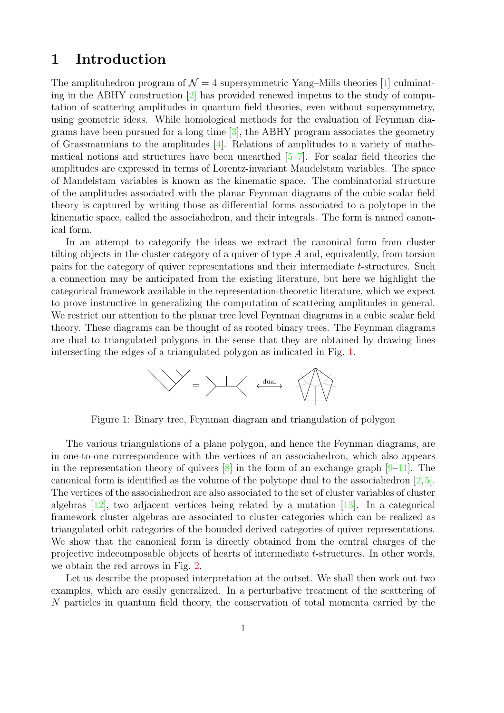### 1 Introduction

The amplituhedron program of  $\mathcal{N} = 4$  supersymmetric Yang–Mills theories [\[1\]](#page-15-0) culminating in the ABHY construction [\[2\]](#page-15-1) has provided renewed impetus to the study of computation of scattering amplitudes in quantum field theories, even without supersymmetry, using geometric ideas. While homological methods for the evaluation of Feynman diagrams have been pursued for a long time  $[3]$ , the ABHY program associates the geometry of Grassmannians to the amplitudes  $[4]$ . Relations of amplitudes to a variety of mathematical notions and structures have been unearthed [\[5](#page-16-2)[–7\]](#page-16-3). For scalar field theories the amplitudes are expressed in terms of Lorentz-invariant Mandelstam variables. The space of Mandelstam variables is known as the kinematic space. The combinatorial structure of the amplitudes associated with the planar Feynman diagrams of the cubic scalar field theory is captured by writing those as differential forms associated to a polytope in the kinematic space, called the associahedron, and their integrals. The form is named canonical form.

In an attempt to categorify the ideas we extract the canonical form from cluster tilting objects in the cluster category of a quiver of type  $A$  and, equivalently, from torsion pairs for the category of quiver representations and their intermediate t-structures. Such a connection may be anticipated from the existing literature, but here we highlight the categorical framework available in the representation-theoretic literature, which we expect to prove instructive in generalizing the computation of scattering amplitudes in general. We restrict our attention to the planar tree level Feynman diagrams in a cubic scalar field theory. These diagrams can be thought of as rooted binary trees. The Feynman diagrams are dual to triangulated polygons in the sense that they are obtained by drawing lines intersecting the edges of a triangulated polygon as indicated in Fig. [1.](#page-1-0)



<span id="page-1-0"></span>Figure 1: Binary tree, Feynman diagram and triangulation of polygon

The various triangulations of a plane polygon, and hence the Feynman diagrams, are in one-to-one correspondence with the vertices of an associahedron, which also appears in the representation theory of quivers  $[8]$  in the form of an exchange graph  $[9-11]$  $[9-11]$ . The canonical form is identified as the volume of the polytope dual to the associahedron  $[2,5]$  $[2,5]$ . The vertices of the associahedron are also associated to the set of cluster variables of cluster algebras  $[12]$ , two adjacent vertices being related by a mutation  $[13]$ . In a categorical framework cluster algebras are associated to cluster categories which can be realized as triangulated orbit categories of the bounded derived categories of quiver representations. We show that the canonical form is directly obtained from the central charges of the projective indecomposable objects of hearts of intermediate t-structures. In other words, we obtain the red arrows in Fig. [2.](#page-2-0)

Let us describe the proposed interpretation at the outset. We shall then work out two examples, which are easily generalized. In a perturbative treatment of the scattering of N particles in quantum field theory, the conservation of total momenta carried by the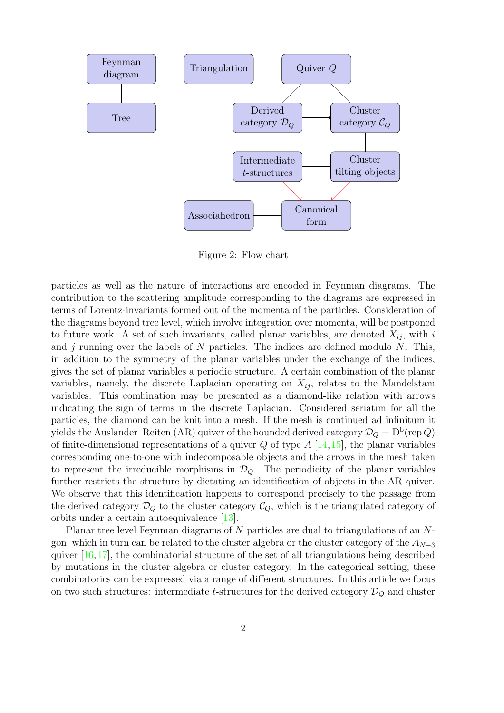<span id="page-2-0"></span>

Figure 2: Flow chart

particles as well as the nature of interactions are encoded in Feynman diagrams. The contribution to the scattering amplitude corresponding to the diagrams are expressed in terms of Lorentz-invariants formed out of the momenta of the particles. Consideration of the diagrams beyond tree level, which involve integration over momenta, will be postponed to future work. A set of such invariants, called planar variables, are denoted  $X_{ij}$ , with i and  $j$  running over the labels of  $N$  particles. The indices are defined modulo  $N$ . This, in addition to the symmetry of the planar variables under the exchange of the indices, gives the set of planar variables a periodic structure. A certain combination of the planar variables, namely, the discrete Laplacian operating on  $X_{ij}$ , relates to the Mandelstam variables. This combination may be presented as a diamond-like relation with arrows indicating the sign of terms in the discrete Laplacian. Considered seriatim for all the particles, the diamond can be knit into a mesh. If the mesh is continued ad infinitum it yields the Auslander–Reiten (AR) quiver of the bounded derived category  $\mathcal{D}_Q = \mathrm{D^b}$ (rep  $Q$ ) of finite-dimensional representations of a quiver  $Q$  of type  $A \left[14, 15\right]$  $A \left[14, 15\right]$  $A \left[14, 15\right]$ , the planar variables corresponding one-to-one with indecomposable objects and the arrows in the mesh taken to represent the irreducible morphisms in  $\mathcal{D}_Q$ . The periodicity of the planar variables further restricts the structure by dictating an identification of objects in the AR quiver. We observe that this identification happens to correspond precisely to the passage from the derived category  $\mathcal{D}_Q$  to the cluster category  $\mathcal{C}_Q$ , which is the triangulated category of orbits under a certain autoequivalence [\[13\]](#page-16-8).

Planar tree level Feynman diagrams of N particles are dual to triangulations of an Ngon, which in turn can be related to the cluster algebra or the cluster category of the  $A_{N-3}$ quiver [\[16,](#page-16-11)[17\]](#page-16-12), the combinatorial structure of the set of all triangulations being described by mutations in the cluster algebra or cluster category. In the categorical setting, these combinatorics can be expressed via a range of different structures. In this article we focus on two such structures: intermediate t-structures for the derived category  $\mathcal{D}_Q$  and cluster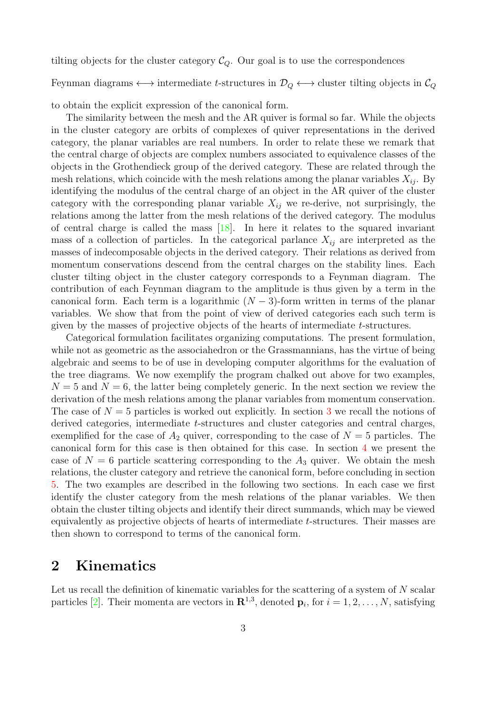tilting objects for the cluster category  $\mathcal{C}_Q$ . Our goal is to use the correspondences

Feynman diagrams  $\longleftrightarrow$  intermediate t-structures in  $\mathcal{D}_Q \longleftrightarrow$  cluster tilting objects in  $\mathcal{C}_Q$ 

to obtain the explicit expression of the canonical form.

The similarity between the mesh and the AR quiver is formal so far. While the objects in the cluster category are orbits of complexes of quiver representations in the derived category, the planar variables are real numbers. In order to relate these we remark that the central charge of objects are complex numbers associated to equivalence classes of the objects in the Grothendieck group of the derived category. These are related through the mesh relations, which coincide with the mesh relations among the planar variables  $X_{ij}$ . By identifying the modulus of the central charge of an object in the AR quiver of the cluster category with the corresponding planar variable  $X_{ij}$  we re-derive, not surprisingly, the relations among the latter from the mesh relations of the derived category. The modulus of central charge is called the mass  $[18]$ . In here it relates to the squared invariant mass of a collection of particles. In the categorical parlance  $X_{ij}$  are interpreted as the masses of indecomposable objects in the derived category. Their relations as derived from momentum conservations descend from the central charges on the stability lines. Each cluster tilting object in the cluster category corresponds to a Feynman diagram. The contribution of each Feynman diagram to the amplitude is thus given by a term in the canonical form. Each term is a logarithmic  $(N-3)$ -form written in terms of the planar variables. We show that from the point of view of derived categories each such term is given by the masses of projective objects of the hearts of intermediate t-structures.

Categorical formulation facilitates organizing computations. The present formulation, while not as geometric as the associahedron or the Grassmannians, has the virtue of being algebraic and seems to be of use in developing computer algorithms for the evaluation of the tree diagrams. We now exemplify the program chalked out above for two examples,  $N = 5$  and  $N = 6$ , the latter being completely generic. In the next section we review the derivation of the mesh relations among the planar variables from momentum conservation. The case of  $N = 5$  particles is worked out explicitly. In section [3](#page-6-0) we recall the notions of derived categories, intermediate t-structures and cluster categories and central charges, exemplified for the case of  $A_2$  quiver, corresponding to the case of  $N = 5$  particles. The canonical form for this case is then obtained for this case. In section [4](#page-13-0) we present the case of  $N = 6$  particle scattering corresponding to the  $A_3$  quiver. We obtain the mesh relations, the cluster category and retrieve the canonical form, before concluding in section [5.](#page-15-2) The two examples are described in the following two sections. In each case we first identify the cluster category from the mesh relations of the planar variables. We then obtain the cluster tilting objects and identify their direct summands, which may be viewed equivalently as projective objects of hearts of intermediate t-structures. Their masses are then shown to correspond to terms of the canonical form.

## 2 Kinematics

Let us recall the definition of kinematic variables for the scattering of a system of  $N$  scalar particles [\[2\]](#page-15-1). Their momenta are vectors in  $\mathbb{R}^{1,3}$ , denoted  $\mathbf{p}_i$ , for  $i = 1, 2, \ldots, N$ , satisfying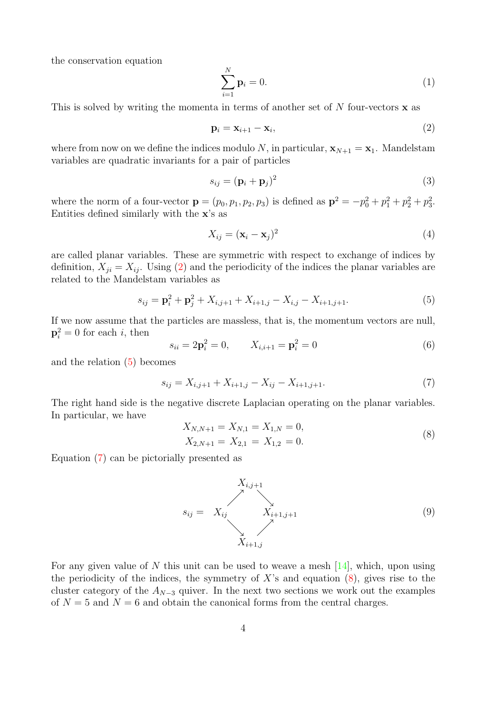the conservation equation

$$
\sum_{i=1}^{N} \mathbf{p}_i = 0. \tag{1}
$$

This is solved by writing the momenta in terms of another set of  $N$  four-vectors  $\bf{x}$  as

<span id="page-4-0"></span>
$$
\mathbf{p}_i = \mathbf{x}_{i+1} - \mathbf{x}_i,\tag{2}
$$

where from now on we define the indices modulo N, in particular,  $\mathbf{x}_{N+1} = \mathbf{x}_1$ . Mandelstam variables are quadratic invariants for a pair of particles

$$
s_{ij} = (\mathbf{p}_i + \mathbf{p}_j)^2 \tag{3}
$$

where the norm of a four-vector  $\mathbf{p} = (p_0, p_1, p_2, p_3)$  is defined as  $\mathbf{p}^2 = -p_0^2 + p_1^2 + p_2^2 + p_3^2$ . Entities defined similarly with the x's as

$$
X_{ij} = (\mathbf{x}_i - \mathbf{x}_j)^2 \tag{4}
$$

are called planar variables. These are symmetric with respect to exchange of indices by definition,  $X_{ji} = X_{ij}$ . Using [\(2\)](#page-4-0) and the periodicity of the indices the planar variables are related to the Mandelstam variables as

<span id="page-4-1"></span>
$$
s_{ij} = \mathbf{p}_i^2 + \mathbf{p}_j^2 + X_{i,j+1} + X_{i+1,j} - X_{i,j} - X_{i+1,j+1}.
$$
 (5)

If we now assume that the particles are massless, that is, the momentum vectors are null,  $\mathbf{p}_i^2 = 0$  for each *i*, then

<span id="page-4-5"></span>
$$
s_{ii} = 2\mathbf{p}_i^2 = 0, \qquad X_{i,i+1} = \mathbf{p}_i^2 = 0 \tag{6}
$$

and the relation [\(5\)](#page-4-1) becomes

<span id="page-4-2"></span>
$$
s_{ij} = X_{i,j+1} + X_{i+1,j} - X_{ij} - X_{i+1,j+1}.
$$
\n(7)

The right hand side is the negative discrete Laplacian operating on the planar variables. In particular, we have

<span id="page-4-3"></span>
$$
X_{N,N+1} = X_{N,1} = X_{1,N} = 0,
$$
  
\n
$$
X_{2,N+1} = X_{2,1} = X_{1,2} = 0.
$$
\n(8)

Equation [\(7\)](#page-4-2) can be pictorially presented as

<span id="page-4-4"></span>
$$
S_{ij} = X_{ij} \t\t \t\t X_{i+1,j+1} \t\t (9)
$$
  

$$
X_{i+1,j}
$$

For any given value of N this unit can be used to weave a mesh  $[14]$ , which, upon using the periodicity of the indices, the symmetry of  $X$ 's and equation  $(8)$ , gives rise to the cluster category of the  $A_{N-3}$  quiver. In the next two sections we work out the examples of  $N = 5$  and  $N = 6$  and obtain the canonical forms from the central charges.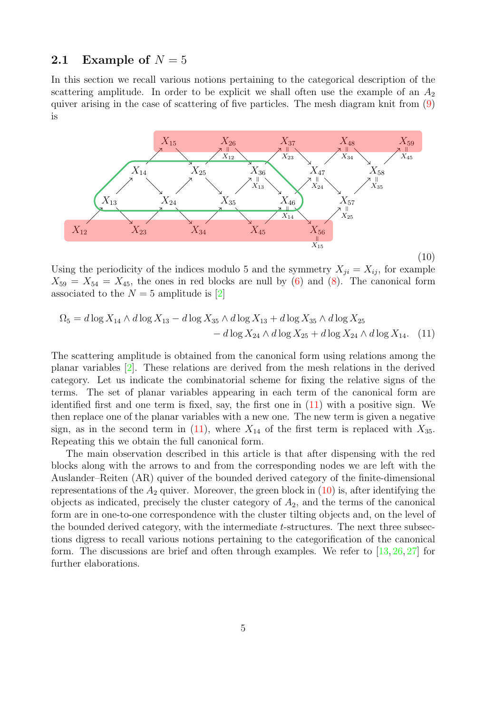### <span id="page-5-2"></span>2.1 Example of  $N = 5$

In this section we recall various notions pertaining to the categorical description of the scattering amplitude. In order to be explicit we shall often use the example of an  $A_2$ quiver arising in the case of scattering of five particles. The mesh diagram knit from [\(9\)](#page-4-4) is

<span id="page-5-1"></span>

Using the periodicity of the indices modulo 5 and the symmetry  $X_{ji} = X_{ij}$ , for example  $X_{59} = X_{54} = X_{45}$ , the ones in red blocks are null by [\(6\)](#page-4-5) and [\(8\)](#page-4-3). The canonical form associated to the  $N = 5$  amplitude is [\[2\]](#page-15-1)

<span id="page-5-0"></span>
$$
\Omega_5 = d \log X_{14} \wedge d \log X_{13} - d \log X_{35} \wedge d \log X_{13} + d \log X_{35} \wedge d \log X_{25} - d \log X_{24} \wedge d \log X_{25} + d \log X_{24} \wedge d \log X_{14}. \tag{11}
$$

The scattering amplitude is obtained from the canonical form using relations among the planar variables [\[2\]](#page-15-1). These relations are derived from the mesh relations in the derived category. Let us indicate the combinatorial scheme for fixing the relative signs of the terms. The set of planar variables appearing in each term of the canonical form are identified first and one term is fixed, say, the first one in [\(11\)](#page-5-0) with a positive sign. We then replace one of the planar variables with a new one. The new term is given a negative sign, as in the second term in [\(11\)](#page-5-0), where  $X_{14}$  of the first term is replaced with  $X_{35}$ . Repeating this we obtain the full canonical form.

The main observation described in this article is that after dispensing with the red blocks along with the arrows to and from the corresponding nodes we are left with the Auslander–Reiten (AR) quiver of the bounded derived category of the finite-dimensional representations of the  $A_2$  quiver. Moreover, the green block in  $(10)$  is, after identifying the objects as indicated, precisely the cluster category of  $A_2$ , and the terms of the canonical form are in one-to-one correspondence with the cluster tilting objects and, on the level of the bounded derived category, with the intermediate  $t$ -structures. The next three subsections digress to recall various notions pertaining to the categorification of the canonical form. The discussions are brief and often through examples. We refer to  $[13, 26, 27]$  $[13, 26, 27]$  $[13, 26, 27]$  $[13, 26, 27]$  for further elaborations.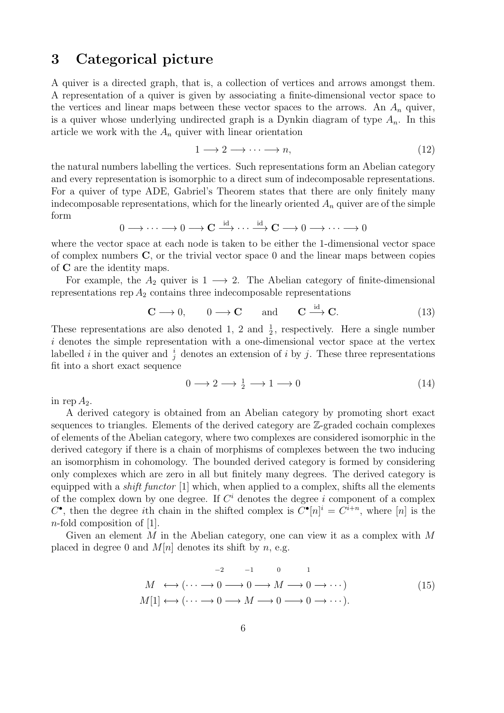## <span id="page-6-0"></span>3 Categorical picture

A quiver is a directed graph, that is, a collection of vertices and arrows amongst them. A representation of a quiver is given by associating a finite-dimensional vector space to the vertices and linear maps between these vector spaces to the arrows. An  $A_n$  quiver, is a quiver whose underlying undirected graph is a Dynkin diagram of type  $A_n$ . In this article we work with the  $A_n$  quiver with linear orientation

$$
1 \longrightarrow 2 \longrightarrow \cdots \longrightarrow n,\tag{12}
$$

the natural numbers labelling the vertices. Such representations form an Abelian category and every representation is isomorphic to a direct sum of indecomposable representations. For a quiver of type ADE, Gabriel's Theorem states that there are only finitely many indecomposable representations, which for the linearly oriented  $A_n$  quiver are of the simple form

$$
0\longrightarrow \cdots \longrightarrow 0 \longrightarrow {\bf C}\stackrel{{\rm id}}{\longrightarrow} \cdots \stackrel{{\rm id}}{\longrightarrow} {\bf C}\longrightarrow 0 \longrightarrow \cdots \longrightarrow 0
$$

where the vector space at each node is taken to be either the 1-dimensional vector space of complex numbers  $C$ , or the trivial vector space 0 and the linear maps between copies of C are the identity maps.

For example, the  $A_2$  quiver is  $1 \longrightarrow 2$ . The Abelian category of finite-dimensional representations rep  $A_2$  contains three indecomposable representations

$$
\mathbf{C} \longrightarrow 0, \qquad 0 \longrightarrow \mathbf{C} \qquad \text{and} \qquad \mathbf{C} \xrightarrow{\text{id}} \mathbf{C}. \tag{13}
$$

These representations are also denoted 1, 2 and  $\frac{1}{2}$ , respectively. Here a single number i denotes the simple representation with a one-dimensional vector space at the vertex labelled *i* in the quiver and  $\frac{i}{j}$  denotes an extension of *i* by *j*. These three representations fit into a short exact sequence

<span id="page-6-1"></span>
$$
0 \longrightarrow 2 \longrightarrow \frac{1}{2} \longrightarrow 1 \longrightarrow 0 \tag{14}
$$

in rep  $A_2$ .

A derived category is obtained from an Abelian category by promoting short exact sequences to triangles. Elements of the derived category are Z-graded cochain complexes of elements of the Abelian category, where two complexes are considered isomorphic in the derived category if there is a chain of morphisms of complexes between the two inducing an isomorphism in cohomology. The bounded derived category is formed by considering only complexes which are zero in all but finitely many degrees. The derived category is equipped with a shift functor [1] which, when applied to a complex, shifts all the elements of the complex down by one degree. If  $C<sup>i</sup>$  denotes the degree i component of a complex  $C^{\bullet}$ , then the degree *i*th chain in the shifted complex is  $C^{\bullet}[n]$ <sup>*i*</sup> =  $C^{i+n}$ , where [*n*] is the n-fold composition of [1].

Given an element M in the Abelian category, one can view it as a complex with  $M$ placed in degree 0 and  $M[n]$  denotes its shift by n, e.g.

<span id="page-6-2"></span>
$$
M \leftrightarrow (\cdots \longrightarrow 0 \longrightarrow 0 \longrightarrow M \longrightarrow 0 \longrightarrow \cdots)
$$
  
\n
$$
M[1] \leftrightarrow (\cdots \longrightarrow 0 \longrightarrow M \longrightarrow 0 \longrightarrow \cdots).
$$
\n
$$
(15)
$$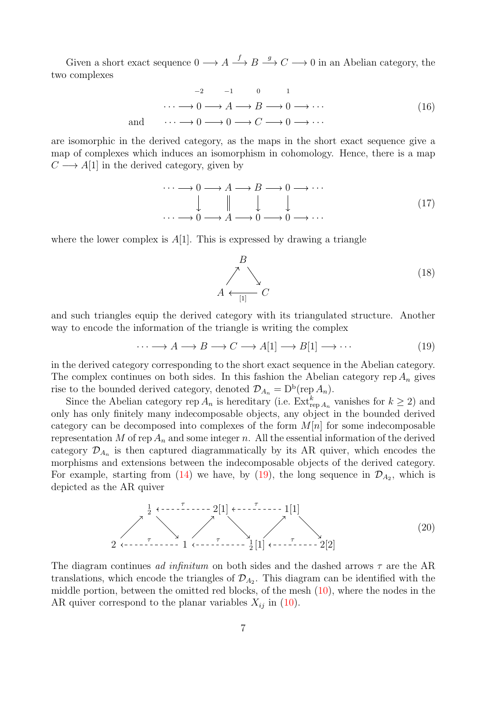Given a short exact sequence  $0 \longrightarrow A \longrightarrow B \longrightarrow C \longrightarrow 0$  in an Abelian category, the two complexes

$$
\cdots \longrightarrow 0 \longrightarrow A \longrightarrow B \longrightarrow 0 \longrightarrow \cdots
$$
  
and 
$$
\cdots \longrightarrow 0 \longrightarrow 0 \longrightarrow C \longrightarrow 0 \longrightarrow \cdots
$$
 (16)

are isomorphic in the derived category, as the maps in the short exact sequence give a map of complexes which induces an isomorphism in cohomology. Hence, there is a map  $C \longrightarrow A[1]$  in the derived category, given by

$$
\cdots \longrightarrow 0 \longrightarrow A \longrightarrow B \longrightarrow 0 \longrightarrow \cdots
$$
  
\n
$$
\downarrow \qquad \qquad \downarrow \qquad \qquad \downarrow
$$
  
\n
$$
\cdots \longrightarrow 0 \longrightarrow A \longrightarrow 0 \longrightarrow 0 \longrightarrow \cdots
$$
  
\n(17)

where the lower complex is  $A[1]$ . This is expressed by drawing a triangle

$$
B\n\over\n\searrow
$$
\n
$$
A \xleftarrow{\text{I1}} C
$$
\n(18)

and such triangles equip the derived category with its triangulated structure. Another way to encode the information of the triangle is writing the complex

<span id="page-7-0"></span> $\cdots \longrightarrow A \longrightarrow B \longrightarrow C \longrightarrow A[1] \longrightarrow B[1] \longrightarrow \cdots$  (19)

in the derived category corresponding to the short exact sequence in the Abelian category. The complex continues on both sides. In this fashion the Abelian category rep  $A_n$  gives rise to the bounded derived category, denoted  $\mathcal{D}_{A_n} = D^b(\text{rep } A_n)$ .

Since the Abelian category rep  $A_n$  is hereditary (i.e.  $\text{Ext}_{\text{rep }A_n}^k$  vanishes for  $k \geq 2$ ) and only has only finitely many indecomposable objects, any object in the bounded derived category can be decomposed into complexes of the form  $M[n]$  for some indecomposable representation M of rep  $A_n$  and some integer n. All the essential information of the derived category  $\mathcal{D}_{A_n}$  is then captured diagrammatically by its AR quiver, which encodes the morphisms and extensions between the indecomposable objects of the derived category. For example, starting from [\(14\)](#page-6-1) we have, by [\(19\)](#page-7-0), the long sequence in  $\mathcal{D}_{A_2}$ , which is depicted as the AR quiver

<span id="page-7-1"></span>
$$
\begin{array}{c}\n \stackrel{1}{\longrightarrow} & \stackrel{\cdot}{\longrightarrow} & \stackrel{\cdot}{\longrightarrow} \\
2 & \stackrel{\tau}{\longleftarrow} & \stackrel{\tau}{\longrightarrow} & \\
1 & \stackrel{\tau}{\longleftarrow} & \stackrel{\tau}{\longleftarrow} & \\
2 & \stackrel{\tau}{\longleftarrow} & \stackrel{\tau}{\longleftarrow} & \\
1 & \stackrel{\tau}{\longleftarrow} & \stackrel{\tau}{\longleftarrow} & \\
2 & \stackrel{\tau}{\longleftarrow} & \\
2 & \stackrel{\tau}{\longleftarrow} & \\
1 & \stackrel{\tau}{\longleftarrow} & \\
2 & \stackrel{\tau}{\longleftarrow} & \\
2 & \stackrel{\tau}{\longleftarrow} & \\
2 & \stackrel{\tau}{\longleftarrow} & \\
2 & \stackrel{\tau}{\longleftarrow} & \\
2 & \stackrel{\tau}{\longleftarrow} & \\
2 & \stackrel{\tau}{\longleftarrow} & \\
2 & \stackrel{\tau}{\longleftarrow} & \\
2 & \stackrel{\tau}{\longleftarrow} & \\
2 & \stackrel{\tau}{\longleftarrow} & \\
2 & \stackrel{\tau}{\longleftarrow} & \\
2 & \stackrel{\tau}{\longleftarrow} & \\
2 & \stackrel{\tau}{\longleftarrow} & \\
2 & \stackrel{\tau}{\longleftarrow} & \\
2 & \stackrel{\tau}{\longleftarrow} & \\
2 & \stackrel{\tau}{\longleftarrow} & \\
2 & \stackrel{\tau}{\longleftarrow} & \\
2 & \stackrel{\tau}{\longleftarrow} & \\
2 & \stackrel{\tau}{\longleftarrow} & \\
2 & \stackrel{\tau}{\longleftarrow} & \\
2 & \stackrel{\tau}{\longleftarrow} & \\
2 & \stackrel{\tau}{\longleftarrow} & \\
2 & \stackrel{\tau}{\longleftarrow} & \\
2 & \stackrel{\tau}{\longleftarrow} & \\
2 & \stackrel{\tau}{\longleftarrow} & \\
2 & \stackrel{\tau}{\longleftarrow} & \\
2 & \stackrel{\tau}{\longleftarrow} & \\
2 &
$$

The diagram continues ad infinitum on both sides and the dashed arrows  $\tau$  are the AR translations, which encode the triangles of  $\mathcal{D}_{A_2}$ . This diagram can be identified with the middle portion, between the omitted red blocks, of the mesh [\(10\)](#page-5-1), where the nodes in the AR quiver correspond to the planar variables  $X_{ij}$  in [\(10\)](#page-5-1).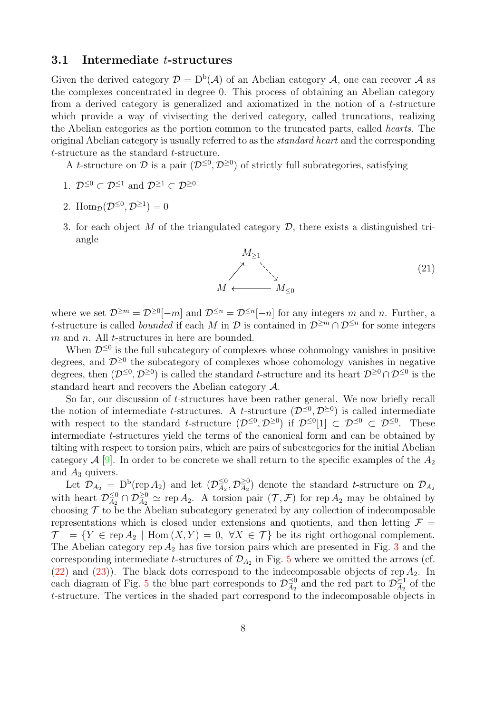#### 3.1 Intermediate t-structures

Given the derived category  $\mathcal{D} = D^b(\mathcal{A})$  of an Abelian category  $\mathcal{A}$ , one can recover  $\mathcal{A}$  as the complexes concentrated in degree 0. This process of obtaining an Abelian category from a derived category is generalized and axiomatized in the notion of a t-structure which provide a way of vivisecting the derived category, called truncations, realizing the Abelian categories as the portion common to the truncated parts, called hearts. The original Abelian category is usually referred to as the standard heart and the corresponding t-structure as the standard t-structure.

A t-structure on D is a pair  $(\mathcal{D}^{\leq 0}, \mathcal{D}^{\geq 0})$  of strictly full subcategories, satisfying

- 1.  $\mathcal{D}^{\leq 0} \subset \mathcal{D}^{\leq 1}$  and  $\mathcal{D}^{\geq 1} \subset \mathcal{D}^{\geq 0}$
- 2. Hom $p(\mathcal{D}^{\leq 0}, \mathcal{D}^{\geq 1}) = 0$
- 3. for each object M of the triangulated category  $\mathcal{D}$ , there exists a distinguished triangle



where we set  $\mathcal{D}^{\geq m} = \mathcal{D}^{\geq 0}[-m]$  and  $\mathcal{D}^{\leq n} = \mathcal{D}^{\leq n}[-n]$  for any integers m and n. Further, a t-structure is called *bounded* if each M in  $\mathcal{D}$  is contained in  $\mathcal{D}^{\geq m} \cap \mathcal{D}^{\leq n}$  for some integers m and n. All t-structures in here are bounded.

When  $\mathcal{D}^{\leq 0}$  is the full subcategory of complexes whose cohomology vanishes in positive degrees, and  $\mathcal{D}^{\geq 0}$  the subcategory of complexes whose cohomology vanishes in negative degrees, then  $(\mathcal{D}^{\leq 0}, \mathcal{D}^{\geq 0})$  is called the standard t-structure and its heart  $\mathcal{D}^{\geq 0} \cap \mathcal{D}^{\leq 0}$  is the standard heart and recovers the Abelian category A.

So far, our discussion of t-structures have been rather general. We now briefly recall the notion of intermediate t-structures. A t-structure  $(\mathcal{D}^{\leq 0}, \mathcal{D}^{\geq 0})$  is called intermediate with respect to the standard t-structure  $(\mathcal{D}^{\leq 0}, \mathcal{D}^{\geq 0})$  if  $\mathcal{D}^{\leq 0}[1] \subset \mathcal{D}^{\leq 0} \subset \mathcal{D}^{\leq 0}$ . These intermediate t-structures yield the terms of the canonical form and can be obtained by tilting with respect to torsion pairs, which are pairs of subcategories for the initial Abelian category  $\mathcal{A}$  [\[9\]](#page-16-5). In order to be concrete we shall return to the specific examples of the  $A_2$ and  $A_3$  quivers.

Let  $\mathcal{D}_{A_2} = D^b(\text{rep } A_2)$  and let  $(\mathcal{D}_{A_2}^{\leq 0})$  $\frac{\leq 0}{A_2},\mathcal{D}_{\overline{A}_2}^{\geq 0}$  $\frac{\geq 0}{A_2}$  denote the standard t-structure on  $\mathcal{D}_{A_2}$ with heart  $\mathcal{D}_{A_2}^{\leq 0}$  $\frac{\leq 0}{A_2} \cap \mathcal{D}_{A_2}^{\geq 0} \simeq \text{rep } A_2$ . A torsion pair  $(\mathcal{T}, \mathcal{F})$  for rep  $A_2$  may be obtained by choosing  $\mathcal T$  to be the Abelian subcategory generated by any collection of indecomposable representations which is closed under extensions and quotients, and then letting  $\mathcal{F} =$  $\mathcal{T}^{\perp} = \{ Y \in \text{rep } A_2 \mid \text{Hom}(X, Y) = 0, \ \forall X \in \mathcal{T} \}$  be its right orthogonal complement. The Abelian category rep  $A_2$  has five torsion pairs which are presented in Fig. [3](#page-9-0) and the corresponding intermediate t-structures of  $\mathcal{D}_{A_2}$  in Fig. [5](#page-12-0) where we omitted the arrows (cf. [\(22\)](#page-9-1) and [\(23\)](#page-10-0)). The black dots correspond to the indecomposable objects of rep  $A_2$ . In each diagram of Fig. [5](#page-12-0) the blue part corresponds to  $\mathcal{D}_{\mathcal{A}_{2}}^{\preceq 0}$  $\frac{\preceq 0}{A_2}$  and the red part to  $\mathcal{D}_{A_2}^{\geq 1}$  $\frac{\sum_{1}^{1}}{A_2}$  of the t-structure. The vertices in the shaded part correspond to the indecomposable objects in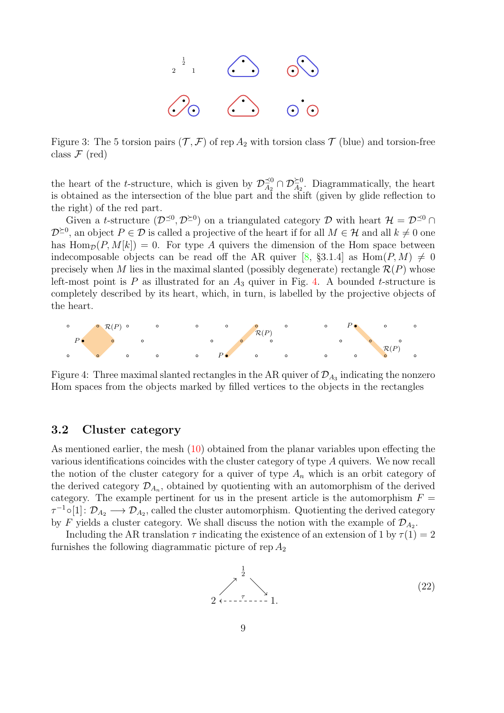

<span id="page-9-0"></span>Figure 3: The 5 torsion pairs  $(\mathcal{T}, \mathcal{F})$  of rep  $A_2$  with torsion class  $\mathcal{T}$  (blue) and torsion-free class  $\mathcal F$  (red)

the heart of the *t*-structure, which is given by  $\mathcal{D}_{A_2}^{\preceq 0}$  $\zeta_{A_2}^{0} \cap \mathcal{D}_{A_2}^{\geq 0}$ . Diagrammatically, the heart is obtained as the intersection of the blue part and the shift (given by glide reflection to the right) of the red part.

Given a t-structure  $(D^{\leq 0}, D^{\geq 0})$  on a triangulated category D with heart  $\mathcal{H} = \mathcal{D}^{\leq 0} \cap$  $\mathcal{D}^{\geq 0}$ , an object  $P \in \mathcal{D}$  is called a projective of the heart if for all  $M \in \mathcal{H}$  and all  $k \neq 0$  one has  $\text{Hom}_{\mathcal{D}}(P, M[k]) = 0$ . For type A quivers the dimension of the Hom space between indecomposable objects can be read off the AR quiver [\[8,](#page-16-4) §3.1.4] as  $\text{Hom}(P, M) \neq 0$ precisely when M lies in the maximal slanted (possibly degenerate) rectangle  $\mathcal{R}(P)$  whose left-most point is P as illustrated for an  $A_3$  quiver in Fig. [4.](#page-9-2) A bounded t-structure is completely described by its heart, which, in turn, is labelled by the projective objects of the heart.

<span id="page-9-2"></span>

Figure 4: Three maximal slanted rectangles in the AR quiver of  $\mathcal{D}_{A_3}$  indicating the nonzero Hom spaces from the objects marked by filled vertices to the objects in the rectangles

#### 3.2 Cluster category

As mentioned earlier, the mesh [\(10\)](#page-5-1) obtained from the planar variables upon effecting the various identifications coincides with the cluster category of type A quivers. We now recall the notion of the cluster category for a quiver of type  $A_n$  which is an orbit category of the derived category  $\mathcal{D}_{A_n}$ , obtained by quotienting with an automorphism of the derived category. The example pertinent for us in the present article is the automorphism  $F =$  $\tau^{-1} \circ [1]: \mathcal{D}_{A_2} \longrightarrow \mathcal{D}_{A_2}$ , called the cluster automorphism. Quotienting the derived category by F yields a cluster category. We shall discuss the notion with the example of  $\mathcal{D}_{A_2}$ .

Including the AR translation  $\tau$  indicating the existence of an extension of 1 by  $\tau(1) = 2$ furnishes the following diagrammatic picture of rep  $A_2$ 

<span id="page-9-1"></span>
$$
\begin{array}{c}\n \stackrel{1}{\longrightarrow} \\
2 \leftarrow -7 \leftarrow -1.\n\end{array}
$$
\n(22)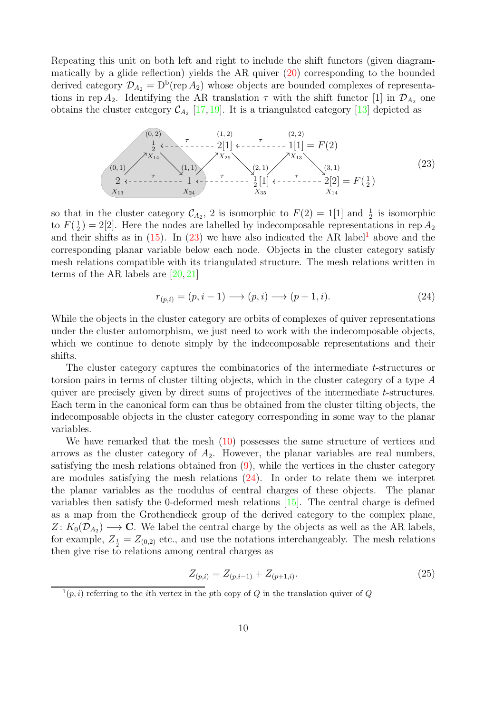Repeating this unit on both left and right to include the shift functors (given diagrammatically by a glide reflection) yields the AR quiver  $(20)$  corresponding to the bounded derived category  $\mathcal{D}_{A_2} = D^b(\text{rep } A_2)$  whose objects are bounded complexes of representations in rep  $A_2$ . Identifying the AR translation  $\tau$  with the shift functor [1] in  $\mathcal{D}_{A_2}$  one obtains the cluster category  $\mathcal{C}_{A_2}$  [\[17,](#page-16-12) [19\]](#page-16-14). It is a triangulated category [\[13\]](#page-16-8) depicted as

<span id="page-10-0"></span>

so that in the cluster category  $\mathcal{C}_{A_2}$ , 2 is isomorphic to  $F(2) = 1[1]$  and  $\frac{1}{2}$  is isomorphic to  $F(\frac{1}{2}) = 2[2]$ . Here the nodes are labelled by indecomposable representations in rep  $A_2$ and their shifts as in  $(15)$  $(15)$  $(15)$ . In  $(23)$  we have also indicated the AR label<sup>1</sup> above and the corresponding planar variable below each node. Objects in the cluster category satisfy mesh relations compatible with its triangulated structure. The mesh relations written in terms of the AR labels are [\[20,](#page-17-2) [21\]](#page-17-3)

<span id="page-10-2"></span>
$$
r_{(p,i)} = (p, i-1) \longrightarrow (p,i) \longrightarrow (p+1,i). \tag{24}
$$

While the objects in the cluster category are orbits of complexes of quiver representations under the cluster automorphism, we just need to work with the indecomposable objects, which we continue to denote simply by the indecomposable representations and their shifts.

The cluster category captures the combinatorics of the intermediate t-structures or torsion pairs in terms of cluster tilting objects, which in the cluster category of a type A quiver are precisely given by direct sums of projectives of the intermediate t-structures. Each term in the canonical form can thus be obtained from the cluster tilting objects, the indecomposable objects in the cluster category corresponding in some way to the planar variables.

We have remarked that the mesh  $(10)$  possesses the same structure of vertices and arrows as the cluster category of  $A_2$ . However, the planar variables are real numbers, satisfying the mesh relations obtained from  $(9)$ , while the vertices in the cluster category are modules satisfying the mesh relations [\(24\)](#page-10-2). In order to relate them we interpret the planar variables as the modulus of central charges of these objects. The planar variables then satisfy the 0-deformed mesh relations  $[15]$ . The central charge is defined as a map from the Grothendieck group of the derived category to the complex plane,  $Z: K_0(\mathcal{D}_{A_2}) \longrightarrow \mathbf{C}$ . We label the central charge by the objects as well as the AR labels, for example,  $Z_{\frac{1}{2}} = Z_{(0,2)}$  etc., and use the notations interchangeably. The mesh relations then give rise to relations among central charges as

$$
Z_{(p,i)} = Z_{(p,i-1)} + Z_{(p+1,i)}.
$$
\n(25)

<span id="page-10-1"></span> $(1(p, i))$  referring to the *i*th vertex in the *p*th copy of Q in the translation quiver of Q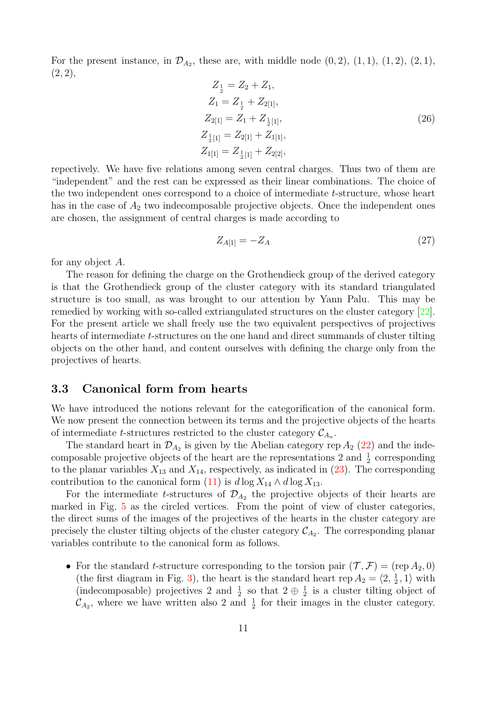For the present instance, in  $\mathcal{D}_{A_2}$ , these are, with middle node  $(0, 2)$ ,  $(1, 1)$ ,  $(1, 2)$ ,  $(2, 1)$ ,  $(2, 2),$ 

<span id="page-11-0"></span>
$$
Z_{\frac{1}{2}} = Z_2 + Z_1,
$$
  
\n
$$
Z_1 = Z_{\frac{1}{2}} + Z_{2[1]},
$$
  
\n
$$
Z_{2[1]} = Z_1 + Z_{\frac{1}{2}[1]},
$$
  
\n
$$
Z_{\frac{1}{2}[1]} = Z_{2[1]} + Z_{1[1]},
$$
  
\n
$$
Z_{1[1]} = Z_{\frac{1}{2}[1]} + Z_{2[2]},
$$
\n(26)

repectively. We have five relations among seven central charges. Thus two of them are "independent" and the rest can be expressed as their linear combinations. The choice of the two independent ones correspond to a choice of intermediate t-structure, whose heart has in the case of  $A_2$  two indecomposable projective objects. Once the independent ones are chosen, the assignment of central charges is made according to

<span id="page-11-1"></span>
$$
Z_{A[1]} = -Z_A \tag{27}
$$

for any object A.

The reason for defining the charge on the Grothendieck group of the derived category is that the Grothendieck group of the cluster category with its standard triangulated structure is too small, as was brought to our attention by Yann Palu. This may be remedied by working with so-called extriangulated structures on the cluster category [\[22\]](#page-17-4). For the present article we shall freely use the two equivalent perspectives of projectives hearts of intermediate t-structures on the one hand and direct summands of cluster tilting objects on the other hand, and content ourselves with defining the charge only from the projectives of hearts.

### 3.3 Canonical form from hearts

We have introduced the notions relevant for the categorification of the canonical form. We now present the connection between its terms and the projective objects of the hearts of intermediate *t*-structures restricted to the cluster category  $\mathcal{C}_{A_n}$ .

The standard heart in  $\mathcal{D}_{A_2}$  is given by the Abelian category rep  $A_2$  [\(22\)](#page-9-1) and the indecomposable projective objects of the heart are the representations 2 and  $\frac{1}{2}$  corresponding to the planar variables  $X_{13}$  and  $X_{14}$ , respectively, as indicated in  $(23)$ . The corresponding contribution to the canonical form [\(11\)](#page-5-0) is  $d \log X_{14} \wedge d \log X_{13}$ .

For the intermediate t-structures of  $\mathcal{D}_{A_2}$  the projective objects of their hearts are marked in Fig. [5](#page-12-0) as the circled vertices. From the point of view of cluster categories, the direct sums of the images of the projectives of the hearts in the cluster category are precisely the cluster tilting objects of the cluster category  $\mathcal{C}_{A_2}$ . The corresponding planar variables contribute to the canonical form as follows.

• For the standard *t*-structure corresponding to the torsion pair  $(\mathcal{T}, \mathcal{F}) = (rep A_2, 0)$ (the first diagram in Fig. [3\)](#page-9-0), the heart is the standard heart rep  $A_2 = \langle 2, 1, 1 \rangle$  with (indecomposable) projectives 2 and  $\frac{1}{2}$  so that  $2 \oplus \frac{1}{2}$  is a cluster tilting object of  $\mathcal{C}_{A_2}$ , where we have written also 2 and  $\frac{1}{2}$  for their images in the cluster category.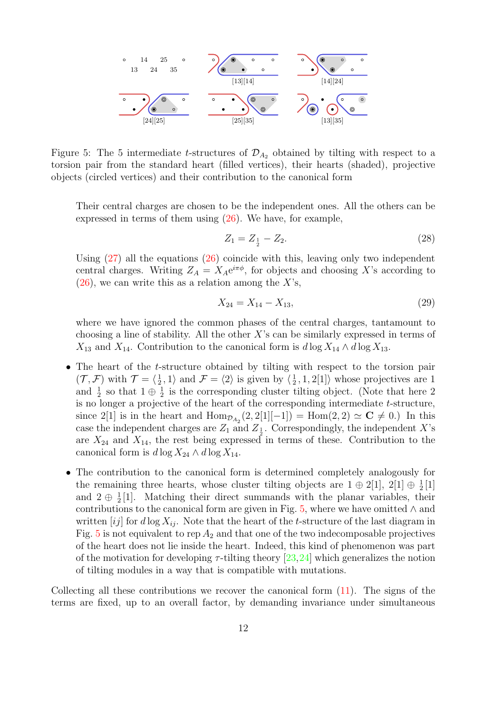<span id="page-12-0"></span>

Figure 5: The 5 intermediate t-structures of  $\mathcal{D}_{A_2}$  obtained by tilting with respect to a torsion pair from the standard heart (filled vertices), their hearts (shaded), projective objects (circled vertices) and their contribution to the canonical form

Their central charges are chosen to be the independent ones. All the others can be expressed in terms of them using [\(26\)](#page-11-0). We have, for example,

$$
Z_1 = Z_1 - Z_2. \tag{28}
$$

Using  $(27)$  all the equations  $(26)$  coincide with this, leaving only two independent central charges. Writing  $Z_A = X_A e^{i\pi \phi}$ , for objects and choosing X's according to  $(26)$ , we can write this as a relation among the X's,

$$
X_{24} = X_{14} - X_{13},\tag{29}
$$

where we have ignored the common phases of the central charges, tantamount to choosing a line of stability. All the other  $X$ 's can be similarly expressed in terms of  $X_{13}$  and  $X_{14}$ . Contribution to the canonical form is  $d \log X_{14} \wedge d \log X_{13}$ .

- The heart of the *t*-structure obtained by tilting with respect to the torsion pair  $(\mathcal{T}, \mathcal{F})$  with  $\mathcal{T} = \langle 1, 1 \rangle$  and  $\mathcal{F} = \langle 2 \rangle$  is given by  $\langle 1, 1, 2[1] \rangle$  whose projectives are 1 and  $\frac{1}{2}$  so that  $1 \oplus \frac{1}{2}$  is the corresponding cluster tilting object. (Note that here 2) is no longer a projective of the heart of the corresponding intermediate  $t$ -structure, since 2[1] is in the heart and  $\text{Hom}_{\mathcal{D}_{A_2}}(2,2[1]-1]) = \text{Hom}(2,2) \simeq \mathbf{C} \neq 0.$  In this case the independent charges are  $Z_1$  and  $Z_1$ . Correspondingly, the independent X's are  $X_{24}$  and  $X_{14}$ , the rest being expressed in terms of these. Contribution to the canonical form is  $d \log X_{24} \wedge d \log X_{14}$ .
- The contribution to the canonical form is determined completely analogously for the remaining three hearts, whose cluster tilting objects are  $1 \oplus 2[1], 2[1] \oplus \frac{1}{2}[1]$ and  $2 \oplus \frac{1}{2}[1]$ . Matching their direct summands with the planar variables, their contributions to the canonical form are given in Fig. [5,](#page-12-0) where we have omitted  $\wedge$  and written [ij] for  $d \log X_{ij}$ . Note that the heart of the t-structure of the last diagram in Fig. [5](#page-12-0) is not equivalent to rep  $A_2$  and that one of the two indecomposable projectives of the heart does not lie inside the heart. Indeed, this kind of phenomenon was part of the motivation for developing  $\tau$ -tilting theory [\[23,](#page-17-5)[24\]](#page-17-6) which generalizes the notion of tilting modules in a way that is compatible with mutations.

Collecting all these contributions we recover the canonical form [\(11\)](#page-5-0). The signs of the terms are fixed, up to an overall factor, by demanding invariance under simultaneous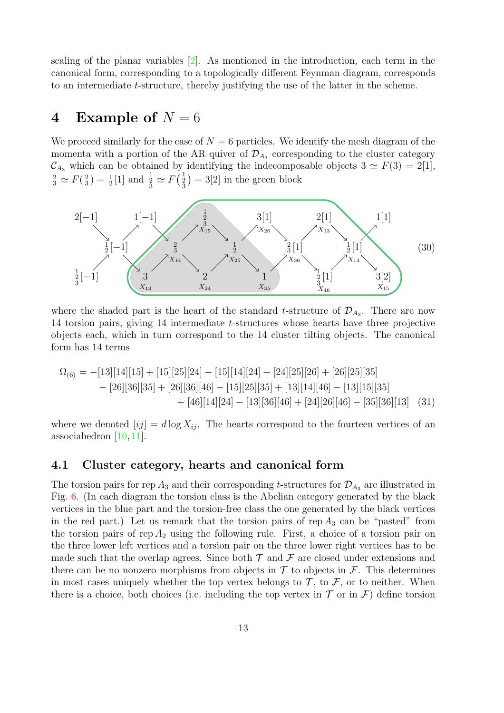scaling of the planar variables [\[2\]](#page-15-1). As mentioned in the introduction, each term in the canonical form, corresponding to a topologically different Feynman diagram, corresponds to an intermediate t-structure, thereby justifying the use of the latter in the scheme.

## <span id="page-13-0"></span>4 Example of  $N = 6$

We proceed similarly for the case of  $N = 6$  particles. We identify the mesh diagram of the momenta with a portion of the AR quiver of  $\mathcal{D}_{A_3}$  corresponding to the cluster category  $\mathcal{C}_{A_3}$  which can be obtained by identifying the indecomposable objects  $3 \simeq F(3) = 2[1]$ ,  $\frac{2}{3} \simeq F(\frac{2}{3}) = \frac{1}{2}[1]$  and  $\frac{1}{3} \simeq F(\frac{1}{3}) = 3[2]$  in the green block



where the shaded part is the heart of the standard t-structure of  $\mathcal{D}_{A_3}$ . There are now 14 torsion pairs, giving 14 intermediate t-structures whose hearts have three projective objects each, which in turn correspond to the 14 cluster tilting objects. The canonical form has 14 terms

<span id="page-13-1"></span>
$$
\Omega_{(6)} = -[13][14][15] + [15][25][24] - [15][14][24] + [24][25][26] + [26][25][35] \n- [26][36][35] + [26][36][46] - [15][25][35] + [13][14][46] - [13][15][35] \n+ [46][14][24] - [13][36][46] + [24][26][46] - [35][36][13] \tag{31}
$$

where we denoted  $[ij] = d \log X_{ij}$ . The hearts correspond to the fourteen vertices of an associahedron [\[10,](#page-16-15) [11\]](#page-16-6).

#### 4.1 Cluster category, hearts and canonical form

The torsion pairs for rep  $A_3$  and their corresponding t-structures for  $\mathcal{D}_{A_3}$  are illustrated in Fig. [6.](#page-14-0) (In each diagram the torsion class is the Abelian category generated by the black vertices in the blue part and the torsion-free class the one generated by the black vertices in the red part.) Let us remark that the torsion pairs of rep  $A_3$  can be "pasted" from the torsion pairs of rep  $A_2$  using the following rule. First, a choice of a torsion pair on the three lower left vertices and a torsion pair on the three lower right vertices has to be made such that the overlap agrees. Since both  $\mathcal T$  and  $\mathcal F$  are closed under extensions and there can be no nonzero morphisms from objects in  $\mathcal T$  to objects in  $\mathcal F$ . This determines in most cases uniquely whether the top vertex belongs to  $\mathcal T$ , to  $\mathcal F$ , or to neither. When there is a choice, both choices (i.e. including the top vertex in  $\mathcal T$  or in  $\mathcal F$ ) define torsion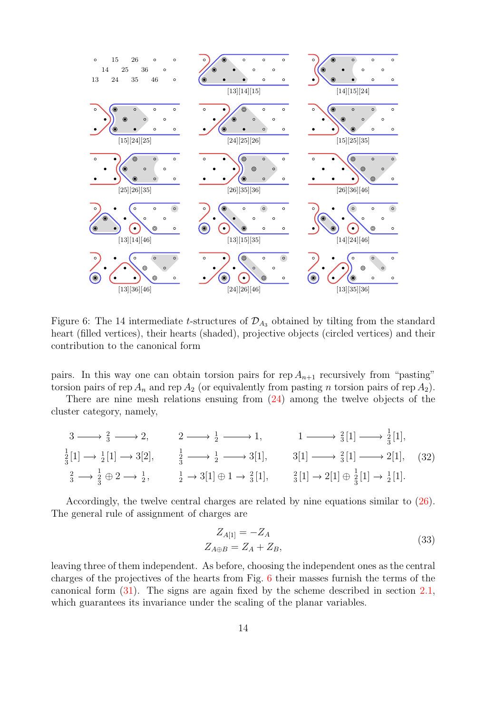<span id="page-14-0"></span>

Figure 6: The 14 intermediate t-structures of  $\mathcal{D}_{A_3}$  obtained by tilting from the standard heart (filled vertices), their hearts (shaded), projective objects (circled vertices) and their contribution to the canonical form

pairs. In this way one can obtain torsion pairs for rep  $A_{n+1}$  recursively from "pasting" torsion pairs of rep  $A_n$  and rep  $A_2$  (or equivalently from pasting n torsion pairs of rep  $A_2$ ).

There are nine mesh relations ensuing from [\(24\)](#page-10-2) among the twelve objects of the cluster category, namely,

$$
3 \longrightarrow \frac{2}{3} \longrightarrow 2, \qquad 2 \longrightarrow \frac{1}{2} \longrightarrow 1, \qquad 1 \longrightarrow \frac{2}{3}[1] \longrightarrow \frac{1}{3}[1],
$$
  
\n
$$
\frac{1}{3}[1] \longrightarrow \frac{1}{2}[1] \longrightarrow 3[2], \qquad \frac{1}{3} \longrightarrow \frac{1}{2} \longrightarrow 3[1], \qquad 3[1] \longrightarrow \frac{2}{3}[1] \longrightarrow 2[1], \qquad (32)
$$
  
\n
$$
\frac{2}{3} \longrightarrow \frac{1}{3} \oplus 2 \longrightarrow \frac{1}{2}, \qquad \frac{1}{2} \longrightarrow 3[1] \oplus 1 \longrightarrow \frac{2}{3}[1], \qquad \frac{2}{3}[1] \longrightarrow 2[1] \oplus \frac{1}{3}[1] \longrightarrow \frac{1}{2}[1].
$$

Accordingly, the twelve central charges are related by nine equations similar to [\(26\)](#page-11-0). The general rule of assignment of charges are

$$
Z_{A[1]} = -Z_A
$$
  
\n
$$
Z_{A \oplus B} = Z_A + Z_B,
$$
\n(33)

leaving three of them independent. As before, choosing the independent ones as the central charges of the projectives of the hearts from Fig. [6](#page-14-0) their masses furnish the terms of the canonical form [\(31\)](#page-13-1). The signs are again fixed by the scheme described in section [2.1,](#page-5-2) which guarantees its invariance under the scaling of the planar variables.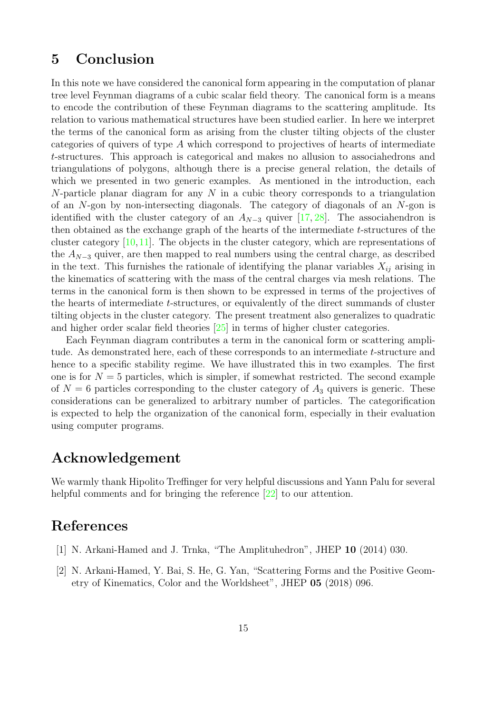## <span id="page-15-2"></span>5 Conclusion

In this note we have considered the canonical form appearing in the computation of planar tree level Feynman diagrams of a cubic scalar field theory. The canonical form is a means to encode the contribution of these Feynman diagrams to the scattering amplitude. Its relation to various mathematical structures have been studied earlier. In here we interpret the terms of the canonical form as arising from the cluster tilting objects of the cluster categories of quivers of type A which correspond to projectives of hearts of intermediate t-structures. This approach is categorical and makes no allusion to associahedrons and triangulations of polygons, although there is a precise general relation, the details of which we presented in two generic examples. As mentioned in the introduction, each N-particle planar diagram for any  $N$  in a cubic theory corresponds to a triangulation of an N-gon by non-intersecting diagonals. The category of diagonals of an N-gon is identified with the cluster category of an  $A_{N-3}$  quiver [\[17,](#page-16-12) [28\]](#page-17-7). The associahendron is then obtained as the exchange graph of the hearts of the intermediate t-structures of the cluster category [\[10,](#page-16-15)[11\]](#page-16-6). The objects in the cluster category, which are representations of the  $A_{N-3}$  quiver, are then mapped to real numbers using the central charge, as described in the text. This furnishes the rationale of identifying the planar variables  $X_{ij}$  arising in the kinematics of scattering with the mass of the central charges via mesh relations. The terms in the canonical form is then shown to be expressed in terms of the projectives of the hearts of intermediate t-structures, or equivalently of the direct summands of cluster tilting objects in the cluster category. The present treatment also generalizes to quadratic and higher order scalar field theories [\[25\]](#page-17-8) in terms of higher cluster categories.

Each Feynman diagram contributes a term in the canonical form or scattering amplitude. As demonstrated here, each of these corresponds to an intermediate t-structure and hence to a specific stability regime. We have illustrated this in two examples. The first one is for  $N = 5$  particles, which is simpler, if somewhat restricted. The second example of  $N = 6$  particles corresponding to the cluster category of  $A_3$  quivers is generic. These considerations can be generalized to arbitrary number of particles. The categorification is expected to help the organization of the canonical form, especially in their evaluation using computer programs.

## Acknowledgement

We warmly thank Hipolito Treffinger for very helpful discussions and Yann Palu for several helpful comments and for bringing the reference [\[22\]](#page-17-4) to our attention.

## <span id="page-15-0"></span>References

- <span id="page-15-1"></span>[1] N. Arkani-Hamed and J. Trnka, "The Amplituhedron", JHEP 10 (2014) 030.
- [2] N. Arkani-Hamed, Y. Bai, S. He, G. Yan, "Scattering Forms and the Positive Geometry of Kinematics, Color and the Worldsheet", JHEP 05 (2018) 096.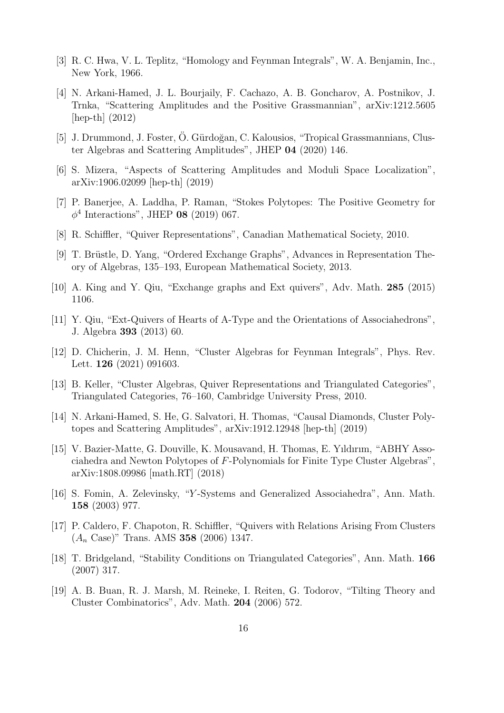- <span id="page-16-1"></span><span id="page-16-0"></span>[3] R. C. Hwa, V. L. Teplitz, "Homology and Feynman Integrals", W. A. Benjamin, Inc., New York, 1966.
- [4] N. Arkani-Hamed, J. L. Bourjaily, F. Cachazo, A. B. Goncharov, A. Postnikov, J. Trnka, "Scattering Amplitudes and the Positive Grassmannian", arXiv:1212.5605 [hep-th] (2012)
- <span id="page-16-2"></span>[5] J. Drummond, J. Foster, O. Gürdoğan, C. Kalousios, "Tropical Grassmannians, Cluster Algebras and Scattering Amplitudes", JHEP 04 (2020) 146.
- <span id="page-16-3"></span>[6] S. Mizera, "Aspects of Scattering Amplitudes and Moduli Space Localization", arXiv:1906.02099 [hep-th] (2019)
- <span id="page-16-4"></span>[7] P. Banerjee, A. Laddha, P. Raman, "Stokes Polytopes: The Positive Geometry for  $\phi^4$  Interactions", JHEP 08 (2019) 067.
- <span id="page-16-5"></span>[8] R. Schiffler, "Quiver Representations", Canadian Mathematical Society, 2010.
- <span id="page-16-15"></span>[9] T. Brüstle, D. Yang, "Ordered Exchange Graphs", Advances in Representation Theory of Algebras, 135–193, European Mathematical Society, 2013.
- <span id="page-16-6"></span>[10] A. King and Y. Qiu, "Exchange graphs and Ext quivers", Adv. Math. 285 (2015) 1106.
- [11] Y. Qiu, "Ext-Quivers of Hearts of A-Type and the Orientations of Associahedrons", J. Algebra 393 (2013) 60.
- <span id="page-16-8"></span><span id="page-16-7"></span>[12] D. Chicherin, J. M. Henn, "Cluster Algebras for Feynman Integrals", Phys. Rev. Lett. **126** (2021) 091603.
- <span id="page-16-9"></span>[13] B. Keller, "Cluster Algebras, Quiver Representations and Triangulated Categories", Triangulated Categories, 76–160, Cambridge University Press, 2010.
- [14] N. Arkani-Hamed, S. He, G. Salvatori, H. Thomas, "Causal Diamonds, Cluster Polytopes and Scattering Amplitudes", arXiv:1912.12948 [hep-th] (2019)
- <span id="page-16-10"></span>[15] V. Bazier-Matte, G. Douville, K. Mousavand, H. Thomas, E. Yıldırım, "ABHY Associahedra and Newton Polytopes of F-Polynomials for Finite Type Cluster Algebras", arXiv:1808.09986 [math.RT] (2018)
- <span id="page-16-11"></span>[16] S. Fomin, A. Zelevinsky, "Y -Systems and Generalized Associahedra", Ann. Math. 158 (2003) 977.
- <span id="page-16-12"></span>[17] P. Caldero, F. Chapoton, R. Schiffler, "Quivers with Relations Arising From Clusters  $(A_n \text{ Case})$ " Trans. AMS 358 (2006) 1347.
- <span id="page-16-13"></span>[18] T. Bridgeland, "Stability Conditions on Triangulated Categories", Ann. Math. 166 (2007) 317.
- <span id="page-16-14"></span>[19] A. B. Buan, R. J. Marsh, M. Reineke, I. Reiten, G. Todorov, "Tilting Theory and Cluster Combinatorics", Adv. Math. 204 (2006) 572.